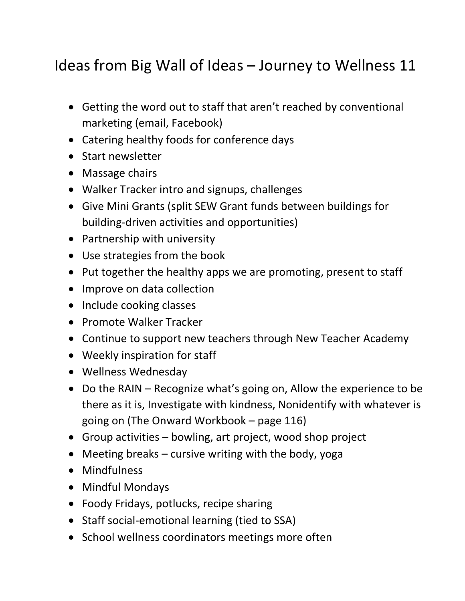## Ideas from Big Wall of Ideas – Journey to Wellness 11

- Getting the word out to staff that aren't reached by conventional marketing (email, Facebook)
- Catering healthy foods for conference days
- Start newsletter
- Massage chairs
- Walker Tracker intro and signups, challenges
- Give Mini Grants (split SEW Grant funds between buildings for building-driven activities and opportunities)
- Partnership with university
- Use strategies from the book
- Put together the healthy apps we are promoting, present to staff
- Improve on data collection
- Include cooking classes
- Promote Walker Tracker
- Continue to support new teachers through New Teacher Academy
- Weekly inspiration for staff
- Wellness Wednesday
- Do the RAIN Recognize what's going on, Allow the experience to be there as it is, Investigate with kindness, Nonidentify with whatever is going on (The Onward Workbook – page 116)
- Group activities bowling, art project, wood shop project
- Meeting breaks cursive writing with the body, yoga
- Mindfulness
- Mindful Mondays
- Foody Fridays, potlucks, recipe sharing
- Staff social-emotional learning (tied to SSA)
- School wellness coordinators meetings more often